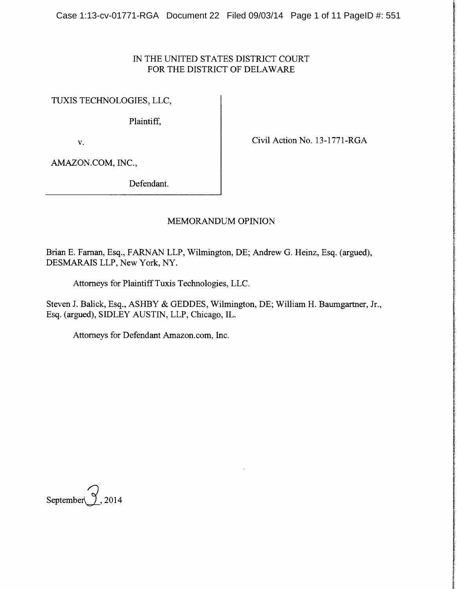# IN THE UNITED STATES DISTRICT COURT FOR THE DISTRICT OF DELAWARE

TUXIS TECHNOLOGIES, LLC,

Plaintiff,

v. Civil Action No. 13-1771-RGA

AMAZON.COM, INC.,

Defendant.

# MEMORANDUM OPINION

Brian E. Farnan, Esq., FARNAN LLP, Wilmington, DE; Andrew G. Heinz, Esq. (argued), DESMARAIS LLP, New York, NY.

Attorneys for Plaintiff Tuxis Technologies, LLC.

Steven J. Balick, Esq., ASHBY & GEDDES, Wilmington, DE; William H. Baumgartner, Jr., Esq. (argued), SIDLEY AUSTIN, LLP, Chicago, IL.

Attorneys for Defendant Amazon.com, Inc.

September  $\gamma$ , 2014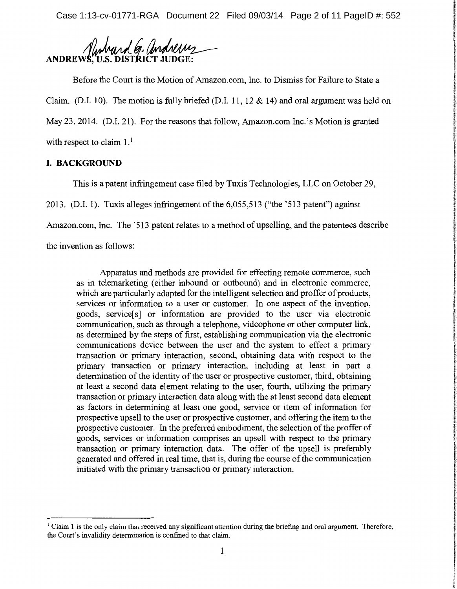Case 1:13-cv-01771-RGA Document 22 Filed 09/03/14 Page 2 of 11 PageID #: 552

Numbard G. andrews **ANDREW** 

Before the Court is the Motion of Amazon.com, Inc. to Dismiss for Failure to State a Claim. (D.I. 10). The motion is fully briefed (D.I. 11, 12 & 14) and oral argument was held on May 23, 2014. (D.I. 21). For the reasons that follow, Amazon.com Inc.'s Motion is granted with respect to claim  $1<sup>1</sup>$ 

## **I. BACKGROUND**

This is a patent infringement case filed by Tuxis Technologies, LLC on October 29,

2013. (D.I. 1). Tuxis alleges infringement of the 6,055,513 ("the '513 patent") against

Amazon.com, Inc. The '513 patent relates to a method of upselling, and the patentees describe

the invention as follows:

Apparatus and methods are provided for effecting remote commerce, such as in telemarketing (either inbound or outbound) and in electronic commerce, which are particularly adapted for the intelligent selection and proffer of products, services or information to a user or customer. In one aspect of the invention, goods, service[ s] or information are provided to the user via electronic communication, such as through a telephone, videophone or other computer link, as determined by the steps of first, establishing communication via the electronic communications device between the user and the system to effect a primary transaction or primary interaction, second, obtaining data with respect to the primary transaction or primary interaction, including at least in part a determination of the identity of the user or prospective customer, third, obtaining at least a second data element relating to the user, fourth, utilizing the primary transaction or primary interaction data along with the at least second data element as factors in determining at least one good, service or item of information for prospective upsell to the user or prospective customer, and offering the item to the prospective customer. In the preferred embodiment, the selection of the proffer of goods, services or information comprises an upsell with respect to the primary transaction or primary interaction data. The offer of the upsell is preferably generated and offered in real time, that is, during the course of the communication initiated with the primary transaction or primary interaction.

<sup>1</sup> Claim 1 is the only claim that received any significant attention during the briefing and oral argument. Therefore, the Court's invalidity determination is confined to that claim.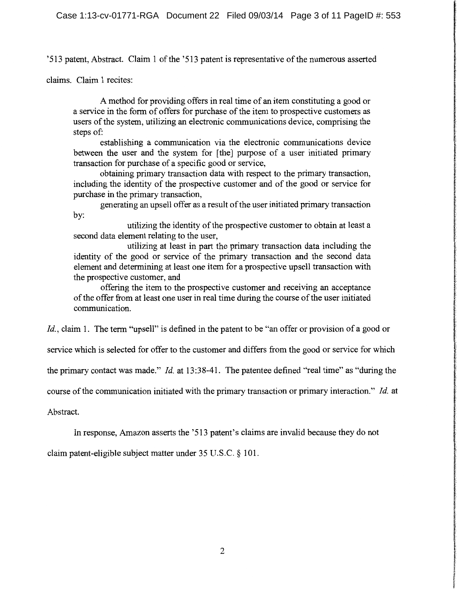'513 patent, Abstract. Claim 1 of the '513 patent is representative of the numerous asserted

claims. Claim 1 recites:

A method for providing offers in real time of an item constituting a good or a service in the form of offers for purchase of the item to prospective customers as users of the system, utilizing an electronic communications device, comprising the steps of:

establishing a communication via the electronic communications device between the user and the system for [the] purpose of a user initiated primary transaction for purchase of a specific good or service,

**International Access** 

ince produce a different agreement and a statement

obtaining primary transaction data with respect to the primary transaction, including the identity of the prospective customer and of the good or service for purchase in the primary transaction,

generating an upsell offer as a result of the user initiated primary transaction by:

utilizing the identity of the prospective customer to obtain at least a second data element relating to the user,

utilizing at least in part the primary transaction data including the identity of the good or service of the primary transaction and the second data element and determining at least one item for a prospective upsell transaction with the prospective customer, and

offering the item to the prospective customer and receiving an acceptance of the offer from at least one user in real time during the course of the user initiated communication.

*Id., claim 1.* The term "upsell" is defined in the patent to be "an offer or provision of a good or

service which is selected for offer to the customer and differs from the good or service for which

the primary contact was made." *Id.* at 13:38-41. The patentee defined "real time" as "during the

course of the communication initiated with the primary transaction or primary interaction." *Id.* at

Abstract.

In response, Amazon asserts the '513 patent's claims are invalid because they do not

claim patent-eligible subject matter under 35 U.S.C. § 101.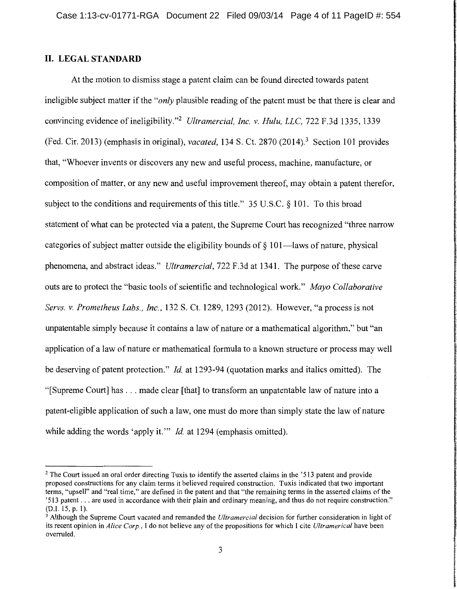## **II. LEGALSTANDARD**

At the motion to dismiss stage a patent claim can be found directed towards patent ineligible subject matter if the *"only* plausible reading of the patent must be that there is clear and convincing evidence of ineligibility."<sup>2</sup>*Ultramercial, Inc. v. Hulu, LLC,* 722 F.3d 1335, 1339 (Fed. Cir. 2013) (emphasis in original), *vacated,* 134 S. Ct. 2870 (2014). 3 Section 101 provides that, "Whoever invents or discovers any new and useful process, machine, manufacture, or composition of matter, or any new and useful improvement thereof, may obtain a patent therefor, subject to the conditions and requirements of this title." 35 U.S.C. § 101. To this broad statement of what can be protected via a patent, the Supreme Court has recognized "three narrow categories of subject matter outside the eligibility bounds of  $\S$  101—laws of nature, physical phenomena, and abstract ideas." *Ultramercial,* 722 F.3d at 1341. The purpose of these carve outs are to protect the "basic tools of scientific and technological work." *Mayo Collaborative Servs. v. Prometheus Labs., Inc.,* 132 S. Ct. 1289, 1293 (2012). However, "a process is not unpatentable simply because it contains a law of nature or a mathematical algorithm," but "an application of a law of nature or mathematical formula to a known structure or process may well be deserving of patent protection." *Id.* at 1293-94 (quotation marks and italics omitted). The "[Supreme Court] has ... made clear [that] to transform an unpatentable law of nature into a patent-eligible application of such a law, one must do more than simply state the law of nature while adding the words 'apply it.'" *Id.* at 1294 (emphasis omitted).

<sup>&</sup>lt;sup>2</sup> The Court issued an oral order directing Tuxis to identify the asserted claims in the  $313$  patent and provide proposed constructions for any claim terms it believed required construction. Tuxis indicated that two important terms, "up sell" and "real time," are defined in the patent and that "the remaining terms in the asserted claims of the '513 patent ... are used in accordance with their plain and ordinary meaning, and thus do not require construction." (D.1.15,p.1).

<sup>3</sup> Although the Supreme Court vacated and remanded the *Ultramercial* decision for further consideration in light of its recent opinion in *Alice Corp.,* I do not believe any of the propositions for which I cite *Ultramerical* have been overruled.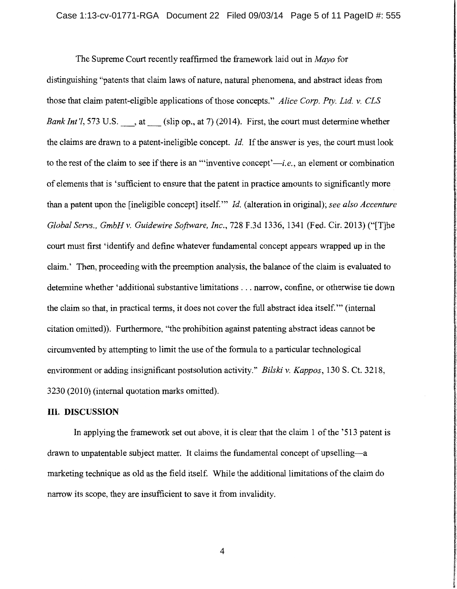The Supreme Court recently reaffirmed the framework laid out in *Mayo* for distinguishing "patents that claim laws of nature, natural phenomena, and abstract ideas from those that claim patent-eligible applications of those concepts." *Alice Corp. Pty. Ltd. v. CLS Bank Int'l*, 573 U.S. , at (slip op., at 7) (2014). First, the court must determine whether the claims are drawn to a patent-ineligible concept. *Id.* If the answer is yes, the court must look to the rest of the claim to see if there is an "inventive concept'—*i.e.*, an element or combination of elements that is 'sufficient to ensure that the patent in practice amounts to significantly more than a patent upon the [ineligible concept] itself."' *Id.* (alteration in original); *see also Accenture Global Servs., GmbH v. Guidewire Software, Inc.,* 728 F.3d 1336, 1341 (Fed. Cir. 2013) ("[T]he court must first 'identify and define whatever fundamental concept appears wrapped up in the claim.' Then, proceeding with the preemption analysis, the balance of the claim is evaluated to determine whether 'additional substantive limitations ... narrow, confine, or otherwise tie down the claim so that, in practical terms, it does not cover the full abstract idea itself."' (internal citation omitted)). Furthermore, "the prohibition against patenting abstract ideas cannot be circumvented by attempting to limit the use of the formula to a particular technological environment or adding insignificant postsolution activity." *Bilski v. Kappas,* 130 S. Ct. 3218, 3230 (2010) (internal quotation marks omitted).

#### **III. DISCUSSION**

In applying the framework set out above, it is clear that the claim 1 of the '513 patent is drawn to unpatentable subject matter. It claims the fundamental concept of upselling-a marketing technique as old as the field itself. While the additional limitations of the claim do narrow its scope, they are insufficient to save it from invalidity.

 $\overline{4}$ 

r l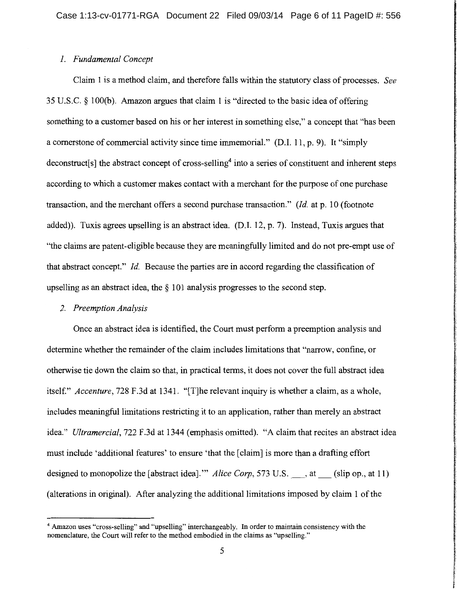#### *1. Fundamental Concept*

Claim 1 is a method claim, and therefore falls within the statutory class of processes. *See*  35 U.S.C. § lOO(b). Amazon argues that claim 1 is "directed to the basic idea of offering something to a customer based on his or her interest in something else," a concept that "has been a cornerstone of commercial activity since time immemorial." (D.I. 11, p. 9). It "simply deconstruct[s] the abstract concept of cross-selling<sup>4</sup> into a series of constituent and inherent steps according to which a customer makes contact with a merchant for the purpose of one purchase transaction, and the merchant offers a second purchase transaction." *(Id.* at p. 10 (footnote added)). Tuxis agrees upselling is an abstract idea. (D.I. 12, p. 7). Instead, Tuxis argues that "the claims are patent-eligible because they are meaningfully limited and do not pre-empt use of that abstract concept." *Id.* Because the parties are in accord regarding the classification of upselling as an abstract idea, the  $\S$  101 analysis progresses to the second step.

#### *2. Preemption Analysis*

Once an abstract idea is identified, the Court must perform a preemption analysis and determine whether the remainder of the claim includes limitations that "narrow, confine, or otherwise tie down the claim so that, in practical terms, it does not cover the full abstract idea itself." *Accenture,* 728 F.3d at 1341. "[T]he relevant inquiry is whether a claim, as a whole, includes meaningful limitations restricting it to an application, rather than merely an abstract idea." *Ultramercial,* 722 F.3d at 1344 (emphasis omitted). "A claim that recites an abstract idea must include 'additional features' to ensure 'that the [claim] is more than a drafting effort designed to monopolize the [abstract idea]." *Alice Corp*, 573 U.S., at (slip op., at 11) (alterations in original). After analyzing the additional limitations imposed by claim 1 of the

<sup>4</sup> Amazon uses "cross-selling" and "upselling" interchangeably. In order to maintain consistency with the nomenclature, the Court will refer to the method embodied in the claims as "upselling."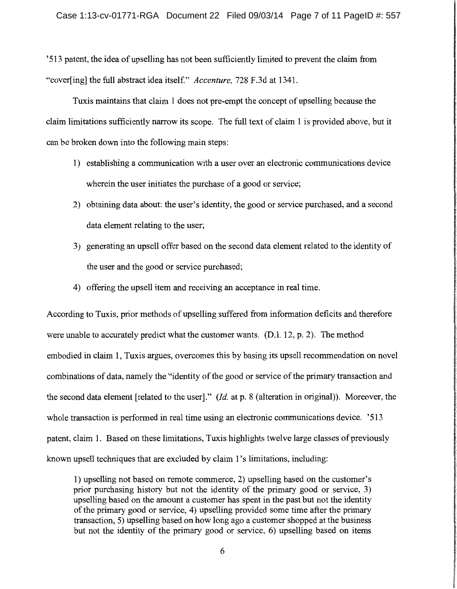'513 patent, the idea of upselling has not been sufficiently limited to prevent the claim from "cover[ing] the full abstract idea itself" *Accenture,* 728 F.3d at 1341.

Tuxis maintains that claim 1 does not pre-empt the concept of upselling because the claim limitations sufficiently narrow its scope. The full text of claim 1 is provided above, but it can be broken down into the following main steps:

- 1) establishing a communication with a user over an electronic communications device wherein the user initiates the purchase of a good or service;
- 2) obtaining data about: the user's identity, the good or service purchased, and a second data element relating to the user;
- 3) generating an upsell offer based on the second data element related to the identity of the user and the good or service purchased;
- 4) offering the upsell item and receiving an acceptance in real time.

According to Tuxis, prior methods of upselling suffered from information deficits and therefore were unable to accurately predict what the customer wants. (D.I. 12, p. 2). The method embodied in claim 1, Tuxis argues, overcomes this by basing its upsell recommendation on novel combinations of data, namely the "identity of the good or service of the primary transaction and the second data element [related to the user]." *(Id.* at p. 8 (alteration in original)). Moreover, the whole transaction is performed in real time using an electronic communications device. '513 patent, claim 1. Based on these limitations, Tuxis highlights twelve large classes of previously known upsell techniques that are excluded by claim 1 's limitations, including:

1) upselling not based on remote commerce, 2) upselling based on the customer's prior purchasing history but not the identity of the primary good or service, 3) upselling based on the amount a customer has spent in the past but not the identity of the primary good or service, 4) upselling provided some time after the primary transaction, 5) upselling based on how long ago a customer shopped at the business but not the identity of the primary good or service, 6) upselling based on items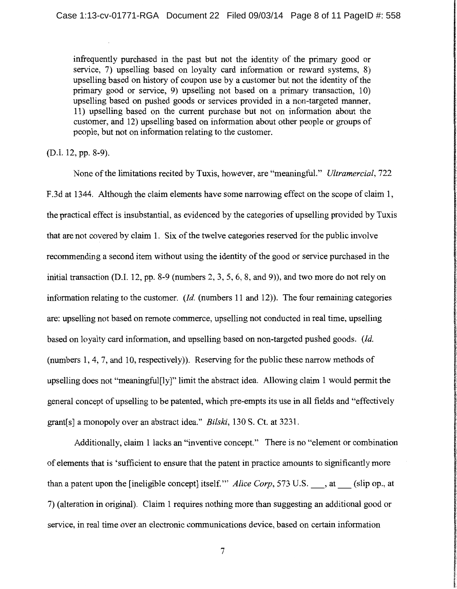infrequently purchased in the past but not the identity of the primary good or service, 7) upselling based on loyalty card information or reward systems, 8) upselling based on history of coupon use by a customer but not the identity of the primary good or service, 9) upselling not based on a primary transaction, 10) upselling based on pushed goods or services provided in a non-targeted manner, 11) upselling based on the current purchase but not on information about the customer, and 12) upselling based on information about other people or groups of people, but not on information relating to the customer.

(D.I. 12, pp. 8-9).

None of the limitations recited by Tuxis, however, are "meaningful." *Ultramercial,* 722 F .3d at 1344. Although the claim elements have some narrowing effect on the scope of claim 1, the practical effect is insubstantial, as evidenced by the categories of upselling provided by Tuxis that are not covered by claim 1. Six of the twelve categories reserved for the public involve recommending a second item without using the identity of the good or service purchased in the initial transaction (D.I. 12, pp. 8-9 (numbers 2, 3, 5, 6, 8, and 9)), and two more do not rely on information relating to the customer. *(Id.* (numbers 11 and 12)). The four remaining categories are: upselling not based on remote commerce, upselling not conducted in real time, upselling based on loyalty card information, and upselling based on non-targeted pushed goods. *(Id.*  (numbers 1, 4, 7, and 10, respectively)). Reserving for the public these narrow methods of upselling does not "meaningful[ly]" limit the abstract idea. Allowing claim 1 would permit the general concept of upselling to be patented, which pre-empts its use in all fields and "effectively grant[ s] a monopoly over an abstract idea." *Bilski,* 130 S. Ct. at 3231.

Additionally, claim 1 lacks an "inventive concept." There is no "element or combination of elements that is 'sufficient to ensure that the patent in practice amounts to significantly more than a patent upon the [ineligible concept] itself." *Alice Corp*, 573 U.S. , at (slip op., at 7) (alteration in original). Claim 1 requires nothing more than suggesting an additional good or service, in real time over an electronic communications device, based on certain information

7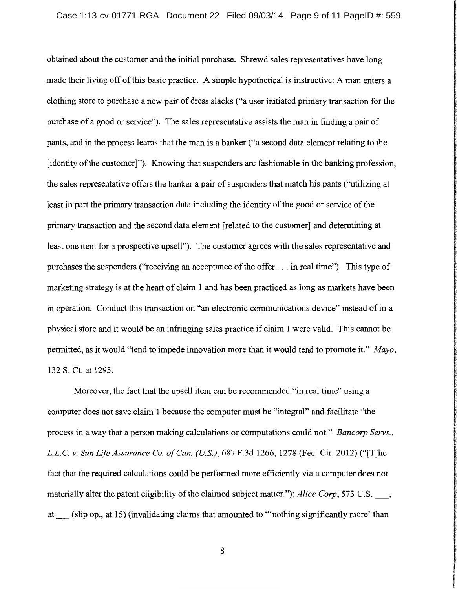obtained about the customer and the initial purchase. Shrewd sales representatives have long made their living off of this basic practice. A simple hypothetical is instructive: A man enters a clothing store to purchase a new pair of dress slacks ("a user initiated primary transaction for the purchase of a good or service"). The sales representative assists the man in finding a pair of pants, and in the process learns that the man is a banker ("a second data element relating to the [identity of the customer]"). Knowing that suspenders are fashionable in the banking profession, the sales representative offers the banker a pair of suspenders that match his pants (''utilizing at least in part the primary transaction data including the identity of the good or service of the primary transaction and the second data element [related to the customer] and determining at least one item for a prospective upsell"). The customer agrees with the sales representative and purchases the suspenders ("receiving an acceptance of the offer ... in real time"). This type of marketing strategy is at the heart of claim 1 and has been practiced as long as markets have been in operation. Conduct this transaction on "an electronic communications device" instead of in a physical store and it would be an infringing sales practice if claim 1 were valid. This cannot be permitted, as it would "tend to impede innovation more than it would tend to promote it." *Mayo,*  132 S. Ct. at 1293.

Moreover, the fact that the upsell item can be recommended "in real time" using a computer does not save claim 1 because the computer must be "integral" and facilitate "the process in a way that a person making calculations or computations could not." *Bancorp Servs., L.L.C. v. Sun Life Assurance Co. of Can. (US.),* 687 F.3d 1266, 1278 (Fed. Cir. 2012) ("[T]he fact that the required calculations could be performed more efficiently via a computer does not materially alter the patent eligibility of the claimed subject matter."); *Alice Corp*, 573 U.S., at\_ (slip op., at 15) (invalidating claims that amounted to "'nothing significantly more' than

8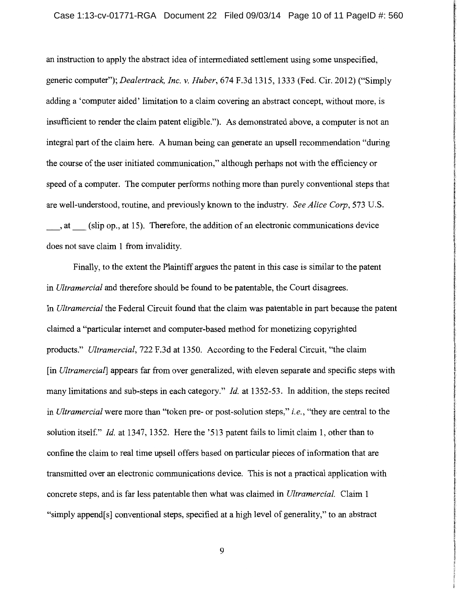**International Communication** 

in the contract of the

an instruction to apply the abstract idea of intermediated settlement using some unspecified, I generic computer"); *Dealertrack, Inc. v. Huber,* 674 F.3d 1315, 1333 (Fed. Cir. 2012) ("Simply adding a 'computer aided' limitation to a claim covering an abstract concept, without more, is insufficient to render the claim patent eligible."). As demonstrated above, a computer is not an integral part of the claim here. A human being can generate an upsell recommendation "during the course of the user initiated communication," although perhaps not with the efficiency or speed of a computer. The computer performs nothing more than purely conventional steps that are well-understood, routine, and previously known to the industry. *See Alice Corp,* 573 U.S. \_,at\_ (slip op., at 15). Therefore, the addition of an electronic communications device does not save claim 1 from invalidity.

Finally, to the extent the Plaintiff argues the patent in this case is similar to the patent in *Ultramercial* and therefore should be found to be patentable, the Court disagrees. In *Ultramercial* the Federal Circuit found that the claim was patentable in part because the patent claimed a "particular internet and computer-based method for monetizing copyrighted products." *Ultramercial,* 722 F.3d at 1350. According to the Federal Circuit, "the claim [in *Ultramercial*] appears far from over generalized, with eleven separate and specific steps with many limitations and sub-steps in each category." *Id.* at 1352-53. In addition, the steps recited in *Ultramercial* were more than "token pre- or post-solution steps," *i.e.,* "they are central to the solution itself." *Id.* at 1347, 1352. Here the '513 patent fails to limit claim 1, other than to confine the claim to real time upsell offers based on particular pieces of information that are transmitted over an electronic communications device. This is not a practical application with concrete steps, and is far less patentable then what was claimed in *Ultramercial.* Claim 1 "simply append[s] conventional steps, specified at a high level of generality," to an abstract

9